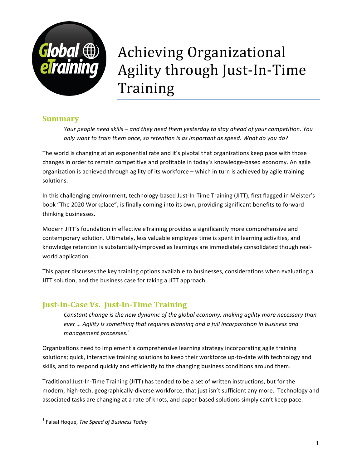

# Achieving Organizational Agility through Just-In-Time Training

## **Summary**

*Your* people need skills – and they need them yesterday to stay ahead of your competition. You *only* want to train them once, so retention is as important as speed. What do you do?

The world is changing at an exponential rate and it's pivotal that organizations keep pace with those changes in order to remain competitive and profitable in today's knowledge-based economy. An agile organization is achieved through agility of its workforce – which in turn is achieved by agile training solutions. 

In this challenging environment, technology-based Just-In-Time Training (JITT), first flagged in Meister's book "The 2020 Workplace", is finally coming into its own, providing significant benefits to forwardthinking businesses.

Modern JITT's foundation in effective eTraining provides a significantly more comprehensive and contemporary solution. Ultimately, less valuable employee time is spent in learning activities, and knowledge retention is substantially-improved as learnings are immediately consolidated though realworld application.

This paper discusses the key training options available to businesses, considerations when evaluating a JITT solution, and the business case for taking a JITT approach.

# **Just-In-Case Vs. Just-In-Time Training**

*Constant change is the new dynamic of the global economy, making agility more necessary than ever* ... Agility is something that requires planning and a full incorporation in business and *management processes.*<sup>1</sup>

Organizations need to implement a comprehensive learning strategy incorporating agile training solutions; quick, interactive training solutions to keep their workforce up-to-date with technology and skills, and to respond quickly and efficiently to the changing business conditions around them.

Traditional Just-In-Time Training (JITT) has tended to be a set of written instructions, but for the modern, high-tech, geographically-diverse workforce, that just isn't sufficient any more. Technology and associated tasks are changing at a rate of knots, and paper-based solutions simply can't keep pace.

<u> 1989 - Johann Stein, fransk politiker (d. 1989)</u>

<sup>&</sup>lt;sup>1</sup> Faisal Hoque, *The Speed of Business Today*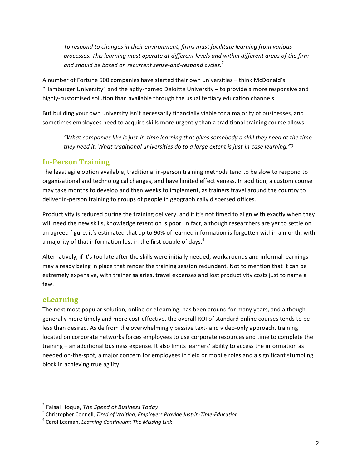To respond to changes in their environment, firms must facilitate learning from various processes. This learning must operate at different levels and within different areas of the firm and should be based on recurrent sense-and-respond cycles.<sup>2</sup>

A number of Fortune 500 companies have started their own universities - think McDonald's "Hamburger University" and the aptly-named Deloitte University  $-$  to provide a more responsive and highly-customised solution than available through the usual tertiary education channels.

But building your own university isn't necessarily financially viable for a majority of businesses, and sometimes employees need to acquire skills more urgently than a traditional training course allows.

"What companies like is just-in-time learning that gives somebody a skill they need at the time they need it. What traditional universities do to a large extent is just-in-case learning."<sup>3</sup>

#### **In-Person Training**

The least agile option available, traditional in-person training methods tend to be slow to respond to organizational and technological changes, and have limited effectiveness. In addition, a custom course may take months to develop and then weeks to implement, as trainers travel around the country to deliver in-person training to groups of people in geographically dispersed offices.

Productivity is reduced during the training delivery, and if it's not timed to align with exactly when they will need the new skills, knowledge retention is poor. In fact, although researchers are yet to settle on an agreed figure, it's estimated that up to 90% of learned information is forgotten within a month, with a majority of that information lost in the first couple of days.<sup>4</sup>

Alternatively, if it's too late after the skills were initially needed, workarounds and informal learnings may already being in place that render the training session redundant. Not to mention that it can be extremely expensive, with trainer salaries, travel expenses and lost productivity costs just to name a few.

#### **eLearning**

The next most popular solution, online or eLearning, has been around for many years, and although generally more timely and more cost-effective, the overall ROI of standard online courses tends to be less than desired. Aside from the overwhelmingly passive text- and video-only approach, training located on corporate networks forces employees to use corporate resources and time to complete the training – an additional business expense. It also limits learners' ability to access the information as needed on-the-spot, a major concern for employees in field or mobile roles and a significant stumbling block in achieving true agility.

 

<sup>&</sup>lt;sup>2</sup> Faisal Hoque, *The Speed of Business Today* 

<sup>&</sup>lt;sup>3</sup> Christopher Connell, *Tired of Waiting, Employers Provide Just-in-Time-Education*<br><sup>4</sup> Carol Leaman, *Learning Continuum: The Missing Link*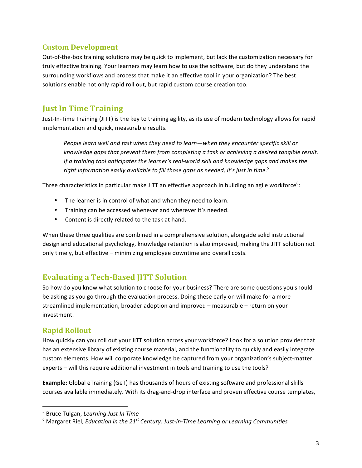#### **Custom Development**

Out-of-the-box training solutions may be quick to implement, but lack the customization necessary for truly effective training. Your learners may learn how to use the software, but do they understand the surrounding workflows and process that make it an effective tool in your organization? The best solutions enable not only rapid roll out, but rapid custom course creation too.

## **Just In Time Training**

Just-In-Time Training (JITT) is the key to training agility, as its use of modern technology allows for rapid implementation and quick, measurable results.

People learn well and fast when they need to learn—when they encounter specific skill or *knowledge gaps that prevent them from completing a task or achieving a desired tangible result. If* a training tool anticipates the learner's real-world skill and knowledge gaps and makes the right information easily available to fill those gaps as needed, it's just in time.<sup>5</sup>

Three characteristics in particular make JITT an effective approach in building an agile workforce<sup>6</sup>:

- The learner is in control of what and when they need to learn.
- Training can be accessed whenever and wherever it's needed.
- Content is directly related to the task at hand.

When these three qualities are combined in a comprehensive solution, alongside solid instructional design and educational psychology, knowledge retention is also improved, making the JITT solution not only timely, but effective – minimizing employee downtime and overall costs.

## **Evaluating a Tech-Based JITT Solution**

So how do you know what solution to choose for your business? There are some questions you should be asking as you go through the evaluation process. Doing these early on will make for a more streamlined implementation, broader adoption and improved – measurable – return on your investment.

#### **Rapid Rollout**

How quickly can you roll out your JITT solution across your workforce? Look for a solution provider that has an extensive library of existing course material, and the functionality to quickly and easily integrate custom elements. How will corporate knowledge be captured from your organization's subject-matter experts – will this require additional investment in tools and training to use the tools?

**Example:** Global eTraining (GeT) has thousands of hours of existing software and professional skills courses available immediately. With its drag-and-drop interface and proven effective course templates,

<u> 1989 - Johann Stein, fransk politiker (d. 1989)</u>

<sup>&</sup>lt;sup>5</sup> Bruce Tulgan, *Learning Just In Time* 

<sup>&</sup>lt;sup>6</sup> Margaret Riel, *Education in the 21<sup>st</sup> Century: Just-in-Time Learning or Learning Communities*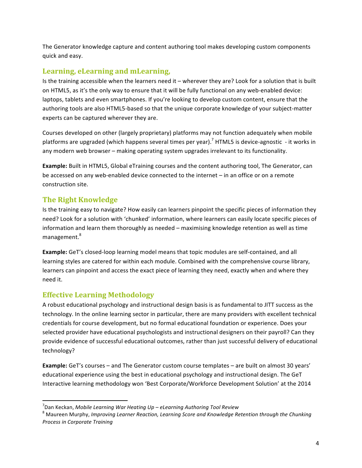The Generator knowledge capture and content authoring tool makes developing custom components quick and easy.

## Learning, eLearning and mLearning,

Is the training accessible when the learners need it – wherever they are? Look for a solution that is built on HTML5, as it's the only way to ensure that it will be fully functional on any web-enabled device: laptops, tablets and even smartphones. If you're looking to develop custom content, ensure that the authoring tools are also HTML5-based so that the unique corporate knowledge of your subject-matter experts can be captured wherever they are.

Courses developed on other (largely proprietary) platforms may not function adequately when mobile platforms are upgraded (which happens several times per year).<sup>7</sup> HTML5 is device-agnostic - it works in any modern web browser – making operating system upgrades irrelevant to its functionality.

**Example:** Built in HTML5, Global eTraining courses and the content authoring tool, The Generator, can be accessed on any web-enabled device connected to the internet - in an office or on a remote construction site.

## **The Right Knowledge**

Is the training easy to navigate? How easily can learners pinpoint the specific pieces of information they need? Look for a solution with 'chunked' information, where learners can easily locate specific pieces of information and learn them thoroughly as needed – maximising knowledge retention as well as time management.<sup>8</sup>

**Example:** GeT's closed-loop learning model means that topic modules are self-contained, and all learning styles are catered for within each module. Combined with the comprehensive course library, learners can pinpoint and access the exact piece of learning they need, exactly when and where they need it.

## **Effective Learning Methodology**

<u> 1989 - Johann Stein, fransk politiker (d. 1989)</u>

A robust educational psychology and instructional design basis is as fundamental to JITT success as the technology. In the online learning sector in particular, there are many providers with excellent technical credentials for course development, but no formal educational foundation or experience. Does your selected provider have educational psychologists and instructional designers on their payroll? Can they provide evidence of successful educational outcomes, rather than just successful delivery of educational technology?

**Example:** GeT's courses – and The Generator custom course templates – are built on almost 30 years' educational experience using the best in educational psychology and instructional design. The GeT Interactive learning methodology won 'Best Corporate/Workforce Development Solution' at the 2014

 $^7$ Dan Keckan, Mobile Learning War Heating Up – eLearning Authoring Tool Review

<sup>&</sup>lt;sup>8</sup> Maureen Murphy, Improving Learner Reaction, Learning Score and Knowledge Retention through the Chunking *Process in Corporate Training*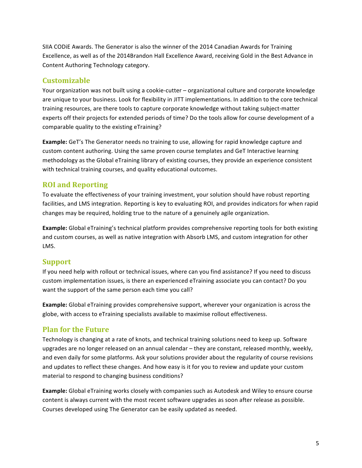SIIA CODIE Awards. The Generator is also the winner of the 2014 Canadian Awards for Training Excellence, as well as of the 2014Brandon Hall Excellence Award, receiving Gold in the Best Advance in Content Authoring Technology category.

#### **Customizable**

Your organization was not built using a cookie-cutter – organizational culture and corporate knowledge are unique to your business. Look for flexibility in JITT implementations. In addition to the core technical training resources, are there tools to capture corporate knowledge without taking subject-matter experts off their projects for extended periods of time? Do the tools allow for course development of a comparable quality to the existing eTraining?

**Example:** GeT's The Generator needs no training to use, allowing for rapid knowledge capture and custom content authoring. Using the same proven course templates and GeT Interactive learning methodology as the Global eTraining library of existing courses, they provide an experience consistent with technical training courses, and quality educational outcomes.

## **ROI and Reporting**

To evaluate the effectiveness of your training investment, your solution should have robust reporting facilities, and LMS integration. Reporting is key to evaluating ROI, and provides indicators for when rapid changes may be required, holding true to the nature of a genuinely agile organization.

**Example:** Global eTraining's technical platform provides comprehensive reporting tools for both existing and custom courses, as well as native integration with Absorb LMS, and custom integration for other LMS.

## **Support**

If you need help with rollout or technical issues, where can you find assistance? If you need to discuss custom implementation issues, is there an experienced eTraining associate you can contact? Do you want the support of the same person each time you call?

**Example:** Global eTraining provides comprehensive support, wherever your organization is across the globe, with access to eTraining specialists available to maximise rollout effectiveness.

## **Plan for the Future**

Technology is changing at a rate of knots, and technical training solutions need to keep up. Software upgrades are no longer released on an annual calendar – they are constant, released monthly, weekly, and even daily for some platforms. Ask your solutions provider about the regularity of course revisions and updates to reflect these changes. And how easy is it for you to review and update your custom material to respond to changing business conditions?

**Example:** Global eTraining works closely with companies such as Autodesk and Wiley to ensure course content is always current with the most recent software upgrades as soon after release as possible. Courses developed using The Generator can be easily updated as needed.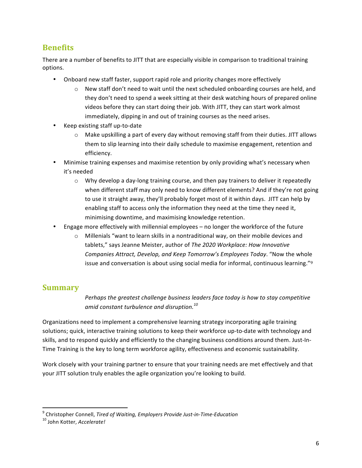## **Benefits**

There are a number of benefits to JITT that are especially visible in comparison to traditional training options.

- Onboard new staff faster, support rapid role and priority changes more effectively
	- $\circ$  New staff don't need to wait until the next scheduled onboarding courses are held, and they don't need to spend a week sitting at their desk watching hours of prepared online videos before they can start doing their job. With JITT, they can start work almost immediately, dipping in and out of training courses as the need arises.
- Keep existing staff up-to-date
	- $\circ$  Make upskilling a part of every day without removing staff from their duties. JITT allows them to slip learning into their daily schedule to maximise engagement, retention and efficiency.
- Minimise training expenses and maximise retention by only providing what's necessary when it's needed
	- $\circ$  Why develop a day-long training course, and then pay trainers to deliver it repeatedly when different staff may only need to know different elements? And if they're not going to use it straight away, they'll probably forget most of it within days. JITT can help by enabling staff to access only the information they need at the time they need it, minimising downtime, and maximising knowledge retention.
- Engage more effectively with millennial employees  $-$  no longer the workforce of the future
	- $\circ$  Millenials "want to learn skills in a nontraditional way, on their mobile devices and tablets," says Jeanne Meister, author of *The 2020 Workplace: How Innovative Companies Attract, Develop, and Keep Tomorrow's Employees Today.* "Now the whole issue and conversation is about using social media for informal, continuous learning." $9$

#### **Summary**

Perhaps the areatest challenge business leaders face today is how to stay competitive *amid constant turbulence and disruption.<sup>10</sup>*

Organizations need to implement a comprehensive learning strategy incorporating agile training solutions; quick, interactive training solutions to keep their workforce up-to-date with technology and skills, and to respond quickly and efficiently to the changing business conditions around them. Just-In-Time Training is the key to long term workforce agility, effectiveness and economic sustainability.

Work closely with your training partner to ensure that your training needs are met effectively and that your JITT solution truly enables the agile organization you're looking to build.

<u> 1989 - Johann Stein, fransk politiker (d. 1989)</u>

<sup>&</sup>lt;sup>9</sup> Christopher Connell, *Tired of Waiting, Employers Provide Just-in-Time-Education* 10 John Kotter. *Accelerate!*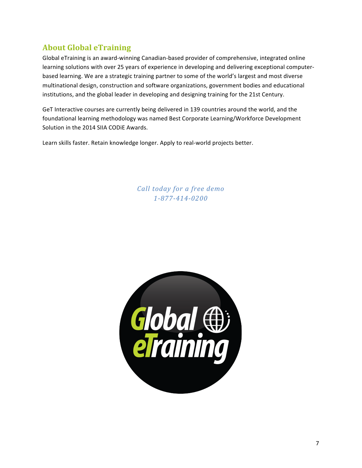# **About Global eTraining**

Global eTraining is an award-winning Canadian-based provider of comprehensive, integrated online learning solutions with over 25 years of experience in developing and delivering exceptional computerbased learning. We are a strategic training partner to some of the world's largest and most diverse multinational design, construction and software organizations, government bodies and educational institutions, and the global leader in developing and designing training for the 21st Century.

GeT Interactive courses are currently being delivered in 139 countries around the world, and the foundational learning methodology was named Best Corporate Learning/Workforce Development Solution in the 2014 SIIA CODIE Awards.

Learn skills faster. Retain knowledge longer. Apply to real-world projects better.

*Call today for a free demo 1-877-414-0200*